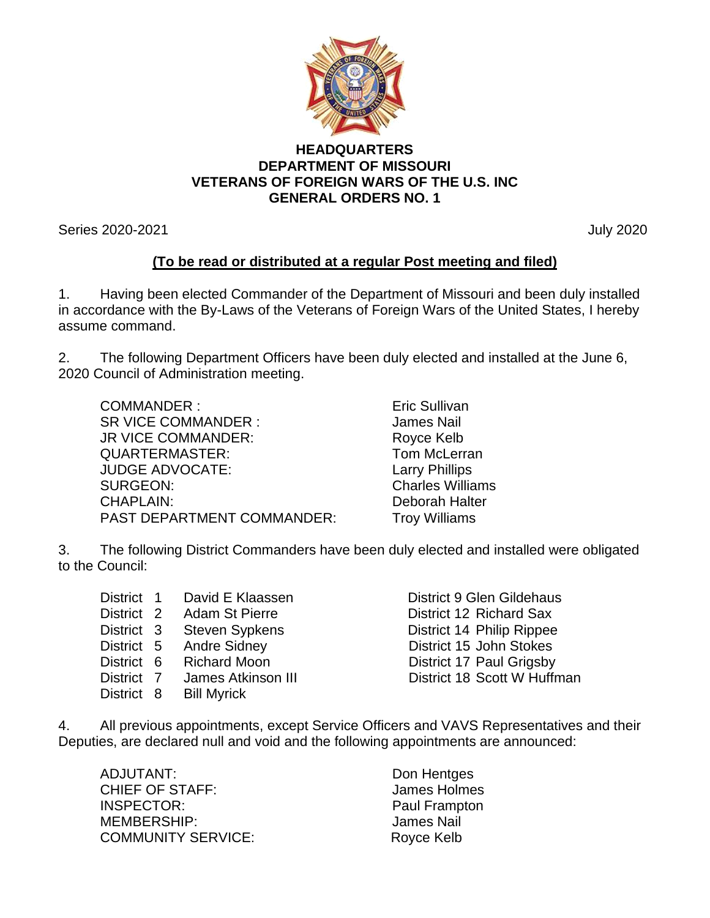

## **HEADQUARTERS DEPARTMENT OF MISSOURI VETERANS OF FOREIGN WARS OF THE U.S. INC GENERAL ORDERS NO. 1**

Series 2020-2021 July 2020

## **(To be read or distributed at a regular Post meeting and filed)**

1. Having been elected Commander of the Department of Missouri and been duly installed in accordance with the By-Laws of the Veterans of Foreign Wars of the United States, I hereby assume command.

2. The following Department Officers have been duly elected and installed at the June 6, 2020 Council of Administration meeting.

COMMANDER : Eric Sullivan SR VICE COMMANDER : James Nail JR VICE COMMANDER: Royce Kelb QUARTERMASTER: Tom McLerran JUDGE ADVOCATE: Larry Phillips SURGEON: Charles Williams CHAPLAIN: Deborah Halter PAST DEPARTMENT COMMANDER: Troy Williams

3. The following District Commanders have been duly elected and installed were obligated to the Council:

| District 1 | David E Klaassen        | District 9 Glen Gildehaus   |
|------------|-------------------------|-----------------------------|
| District 2 | Adam St Pierre          | District 12 Richard Sax     |
| District 3 | <b>Steven Sypkens</b>   | District 14 Philip Rippee   |
|            | District 5 Andre Sidney | District 15 John Stokes     |
|            | District 6 Richard Moon | District 17 Paul Grigsby    |
| District 7 | James Atkinson III      | District 18 Scott W Huffman |
| District 8 | <b>Bill Myrick</b>      |                             |

4. All previous appointments, except Service Officers and VAVS Representatives and their Deputies, are declared null and void and the following appointments are announced:

ADJUTANT: Don Hentges CHIEF OF STAFF: James Holmes INSPECTOR: Paul Frampton MEMBERSHIP: James Nail COMMUNITY SERVICE: Royce Kelb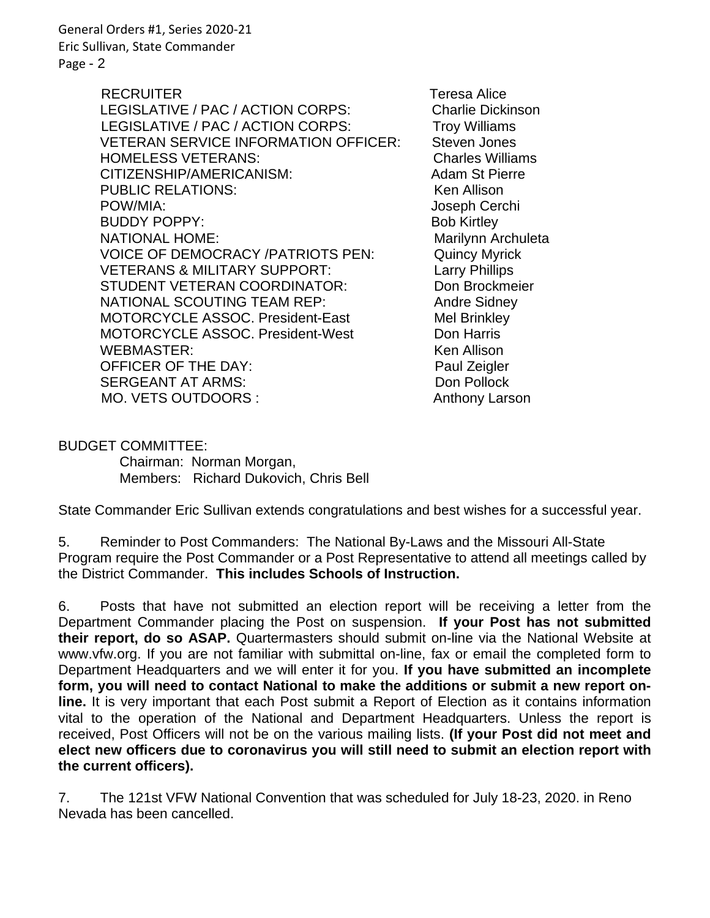General Orders #1, Series 2020-21 Eric Sullivan, State Commander Page - 2

> RECRUITER Teresa Alice LEGISLATIVE / PAC / ACTION CORPS: Charlie Dickinson LEGISLATIVE / PAC / ACTION CORPS: Troy Williams VETERAN SERVICE INFORMATION OFFICER: Steven Jones HOMELESS VETERANS: Charles Williams CITIZENSHIP/AMERICANISM: Adam St Pierre PUBLIC RELATIONS: Wenness Allison POW/MIA: Joseph Cerchi BUDDY POPPY: BOD Kirtley NATIONAL HOME: Marilynn Archuleta VOICE OF DEMOCRACY /PATRIOTS PEN: Quincy Myrick VETERANS & MILITARY SUPPORT: Larry Phillips STUDENT VETERAN COORDINATOR: Don Brockmeier NATIONAL SCOUTING TEAM REP: Andre Sidney MOTORCYCLE ASSOC. President-East Mel Brinkley MOTORCYCLE ASSOC. President-West Don Harris WEBMASTER: The Contract of the Music Security Association of the Music Security Association of the Music Security Association of the Music Security Association of the Music Security Association of the Music Security Associ OFFICER OF THE DAY: Paul Zeigler SERGEANT AT ARMS: Don Pollock MO. VETS OUTDOORS : Anthony Larson

BUDGET COMMITTEE: Chairman: Norman Morgan, Members: Richard Dukovich, Chris Bell

State Commander Eric Sullivan extends congratulations and best wishes for a successful year.

5. Reminder to Post Commanders: The National By-Laws and the Missouri All-State Program require the Post Commander or a Post Representative to attend all meetings called by the District Commander. **This includes Schools of Instruction.**

6. Posts that have not submitted an election report will be receiving a letter from the Department Commander placing the Post on suspension. **If your Post has not submitted their report, do so ASAP.** Quartermasters should submit on-line via the National Website at www.vfw.org. If you are not familiar with submittal on-line, fax or email the completed form to Department Headquarters and we will enter it for you. **If you have submitted an incomplete form, you will need to contact National to make the additions or submit a new report online.** It is very important that each Post submit a Report of Election as it contains information vital to the operation of the National and Department Headquarters. Unless the report is received, Post Officers will not be on the various mailing lists. **(If your Post did not meet and elect new officers due to coronavirus you will still need to submit an election report with the current officers).**

7. The 121st VFW National Convention that was scheduled for July 18-23, 2020. in Reno Nevada has been cancelled.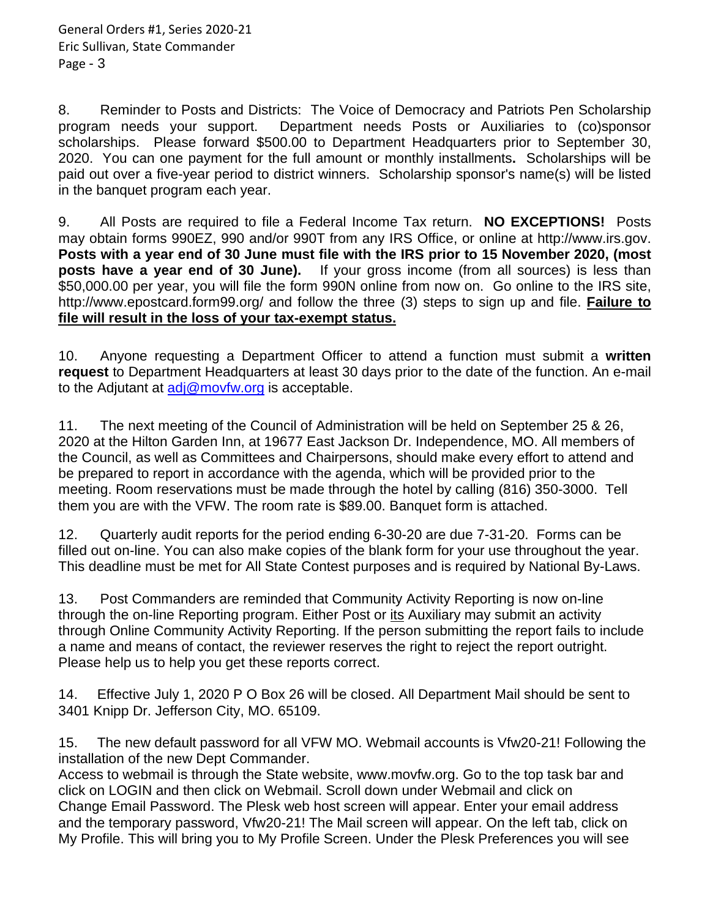8. Reminder to Posts and Districts: The Voice of Democracy and Patriots Pen Scholarship program needs your support. Department needs Posts or Auxiliaries to (co)sponsor scholarships. Please forward \$500.00 to Department Headquarters prior to September 30, 2020. You can one payment for the full amount or monthly installments**.** Scholarships will be paid out over a five-year period to district winners. Scholarship sponsor's name(s) will be listed in the banquet program each year.

9. All Posts are required to file a Federal Income Tax return. **NO EXCEPTIONS!** Posts may obtain forms 990EZ, 990 and/or 990T from any IRS Office, or online at http://www.irs.gov. **Posts with a year end of 30 June must file with the IRS prior to 15 November 2020, (most posts have a year end of 30 June).** If your gross income (from all sources) is less than \$50,000.00 per year, you will file the form 990N online from now on. Go online to the IRS site, http://www.epostcard.form99.org/ and follow the three (3) steps to sign up and file. **Failure to file will result in the loss of your tax-exempt status.**

10. Anyone requesting a Department Officer to attend a function must submit a **written request** to Department Headquarters at least 30 days prior to the date of the function. An e-mail to the Adjutant at  $\frac{adj@movfw.org}{complement}$  is acceptable.

11. The next meeting of the Council of Administration will be held on September 25 & 26, 2020 at the Hilton Garden Inn, at 19677 East Jackson Dr. Independence, MO. All members of the Council, as well as Committees and Chairpersons, should make every effort to attend and be prepared to report in accordance with the agenda, which will be provided prior to the meeting. Room reservations must be made through the hotel by calling (816) 350-3000. Tell them you are with the VFW. The room rate is \$89.00. Banquet form is attached.

12. Quarterly audit reports for the period ending 6-30-20 are due 7-31-20. Forms can be filled out on-line. You can also make copies of the blank form for your use throughout the year. This deadline must be met for All State Contest purposes and is required by National By-Laws.

13. Post Commanders are reminded that Community Activity Reporting is now on-line through the on-line Reporting program. Either Post or its Auxiliary may submit an activity through Online Community Activity Reporting. If the person submitting the report fails to include a name and means of contact, the reviewer reserves the right to reject the report outright. Please help us to help you get these reports correct.

14. Effective July 1, 2020 P O Box 26 will be closed. All Department Mail should be sent to 3401 Knipp Dr. Jefferson City, MO. 65109.

15. The new default password for all VFW MO. Webmail accounts is Vfw20-21! Following the installation of the new Dept Commander.

Access to webmail is through the State website, www.movfw.org. Go to the top task bar and click on LOGIN and then click on Webmail. Scroll down under Webmail and click on Change Email Password. The Plesk web host screen will appear. Enter your email address and the temporary password, Vfw20-21! The Mail screen will appear. On the left tab, click on My Profile. This will bring you to My Profile Screen. Under the Plesk Preferences you will see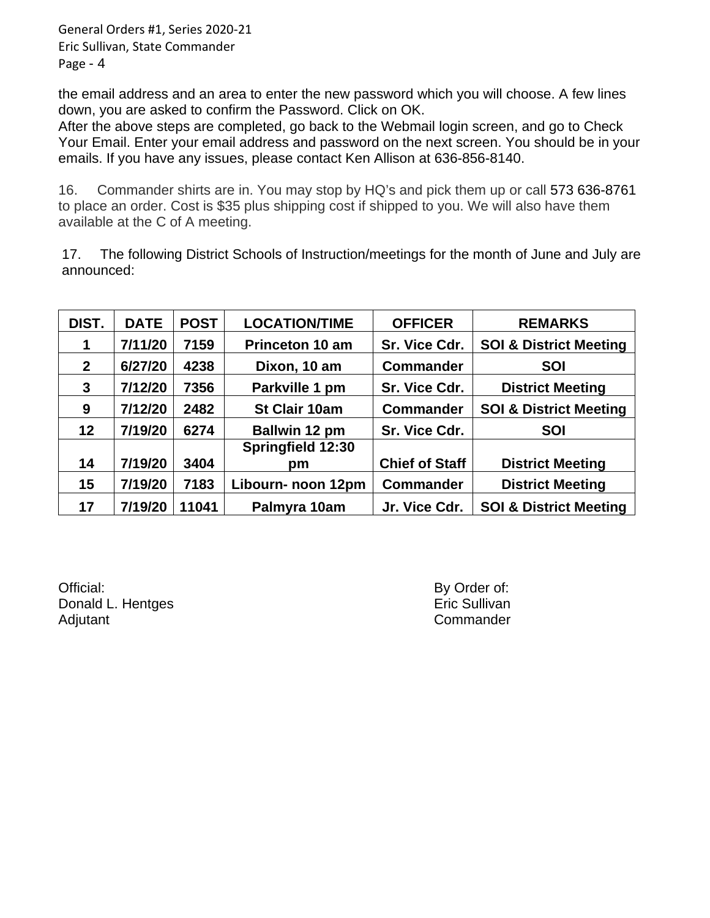General Orders #1, Series 2020-21 Eric Sullivan, State Commander Page - 4

the email address and an area to enter the new password which you will choose. A few lines down, you are asked to confirm the Password. Click on OK.

After the above steps are completed, go back to the Webmail login screen, and go to Check Your Email. Enter your email address and password on the next screen. You should be in your emails. If you have any issues, please contact Ken Allison at 636-856-8140.

16. Commander shirts are in. You may stop by HQ's and pick them up or call 573 636-8761 to place an order. Cost is \$35 plus shipping cost if shipped to you. We will also have them available at the C of A meeting.

17. The following District Schools of Instruction/meetings for the month of June and July are announced:

| DIST.        | <b>DATE</b> | <b>POST</b> | <b>LOCATION/TIME</b>   | <b>OFFICER</b>        | <b>REMARKS</b>                    |
|--------------|-------------|-------------|------------------------|-----------------------|-----------------------------------|
| 1            | 7/11/20     | 7159        | <b>Princeton 10 am</b> | Sr. Vice Cdr.         | <b>SOI &amp; District Meeting</b> |
| $\mathbf{2}$ | 6/27/20     | 4238        | Dixon, 10 am           | <b>Commander</b>      | <b>SOI</b>                        |
| 3            | 7/12/20     | 7356        | Parkville 1 pm         | Sr. Vice Cdr.         | <b>District Meeting</b>           |
| 9            | 7/12/20     | 2482        | St Clair 10am          | <b>Commander</b>      | <b>SOI &amp; District Meeting</b> |
| $12 \,$      | 7/19/20     | 6274        | Ballwin 12 pm          | Sr. Vice Cdr.         | <b>SOI</b>                        |
|              |             |             | Springfield 12:30      |                       |                                   |
| 14           | 7/19/20     | 3404        | pm                     | <b>Chief of Staff</b> | <b>District Meeting</b>           |
| 15           | 7/19/20     | 7183        | Libourn- noon 12pm     | <b>Commander</b>      | <b>District Meeting</b>           |
| 17           | 7/19/20     | 11041       | Palmyra 10am           | Jr. Vice Cdr.         | <b>SOI &amp; District Meeting</b> |

Official: By Order of: Donald L. Hentges **Example 20** and 20 and 20 and 20 and 20 and 20 and 20 and 20 and 20 and 20 and 20 and 20 and 20 and 20 and 20 and 20 and 20 and 20 and 20 and 20 and 20 and 20 and 20 and 20 and 20 and 20 and 20 and 20 an Adjutant **Commander**